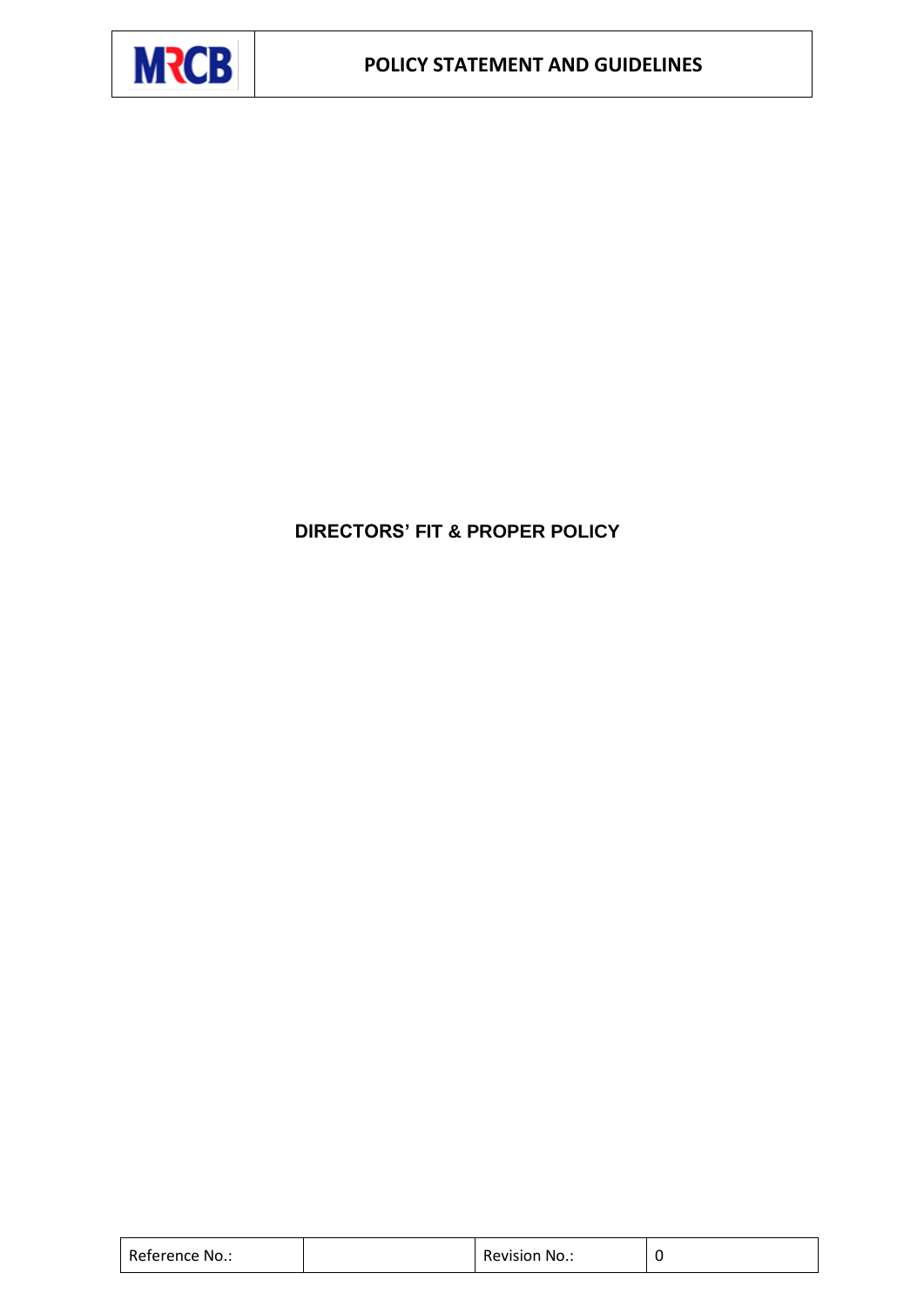

# **DIRECTORS' FIT & PROPER POLICY**

| Reference No.: | Revision No.: |  |
|----------------|---------------|--|
|                |               |  |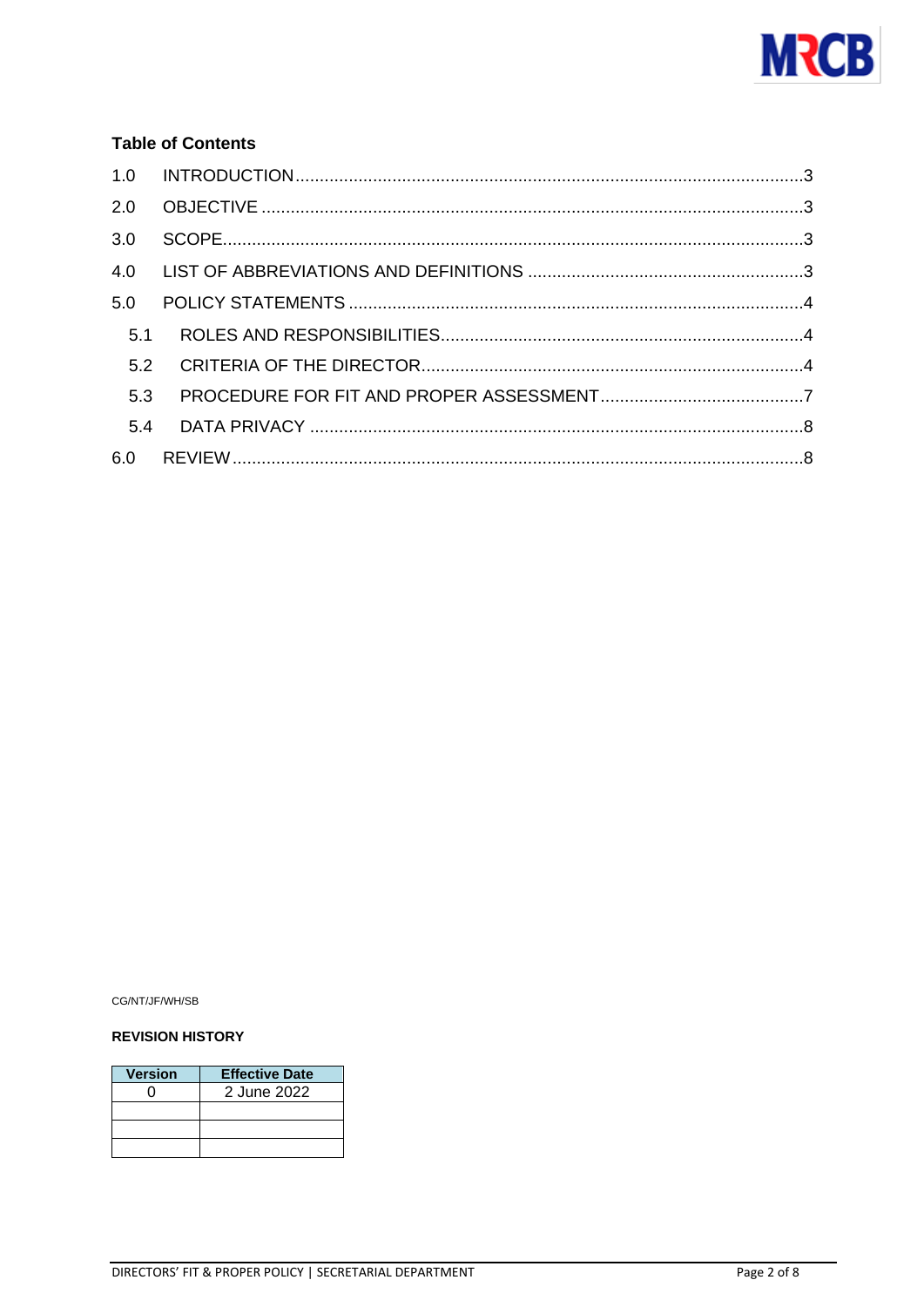

## **Table of Contents**

| 3.0 |  |
|-----|--|
|     |  |
| 5.0 |  |
| 5.1 |  |
| 5.2 |  |
| 5.3 |  |
| 5.4 |  |
|     |  |
|     |  |

CG/NT/JF/WH/SB

#### **REVISION HISTORY**

| <b>Version</b> | <b>Effective Date</b> |
|----------------|-----------------------|
|                | 2 June 2022           |
|                |                       |
|                |                       |
|                |                       |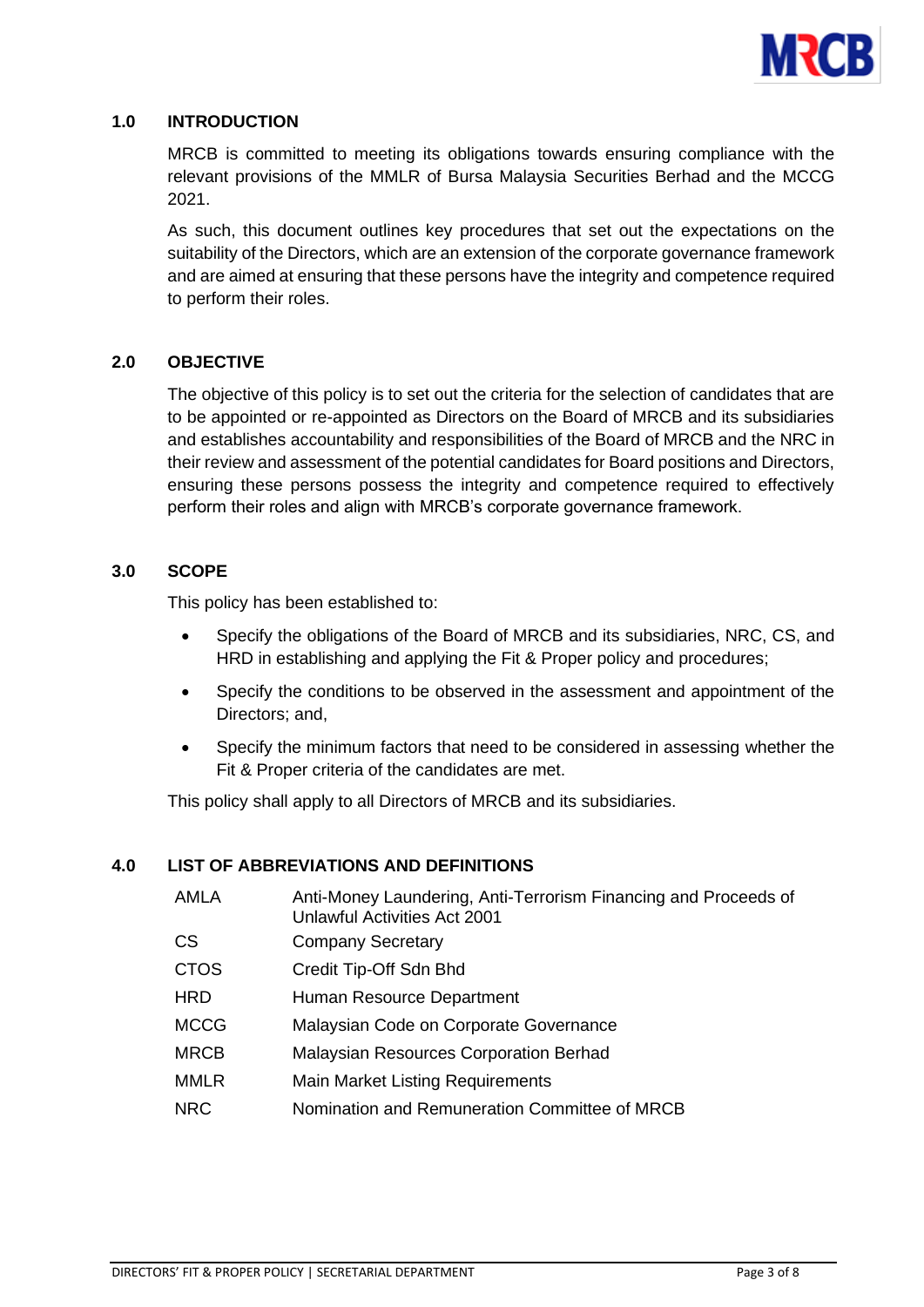

## <span id="page-2-0"></span>**1.0 INTRODUCTION**

MRCB is committed to meeting its obligations towards ensuring compliance with the relevant provisions of the MMLR of Bursa Malaysia Securities Berhad and the MCCG 2021.

As such, this document outlines key procedures that set out the expectations on the suitability of the Directors, which are an extension of the corporate governance framework and are aimed at ensuring that these persons have the integrity and competence required to perform their roles.

## <span id="page-2-1"></span>**2.0 OBJECTIVE**

The objective of this policy is to set out the criteria for the selection of candidates that are to be appointed or re-appointed as Directors on the Board of MRCB and its subsidiaries and establishes accountability and responsibilities of the Board of MRCB and the NRC in their review and assessment of the potential candidates for Board positions and Directors, ensuring these persons possess the integrity and competence required to effectively perform their roles and align with MRCB's corporate governance framework.

## <span id="page-2-2"></span>**3.0 SCOPE**

This policy has been established to:

- Specify the obligations of the Board of MRCB and its subsidiaries, NRC, CS, and HRD in establishing and applying the Fit & Proper policy and procedures;
- Specify the conditions to be observed in the assessment and appointment of the Directors; and,
- Specify the minimum factors that need to be considered in assessing whether the Fit & Proper criteria of the candidates are met.

This policy shall apply to all Directors of MRCB and its subsidiaries.

# <span id="page-2-3"></span>**4.0 LIST OF ABBREVIATIONS AND DEFINITIONS**

AMLA **Anti-Money Laundering, Anti-Terrorism Financing and Proceeds of** Unlawful Activities Act 2001 CS Company Secretary CTOS Credit Tip-Off Sdn Bhd HRD Human Resource Department MCCG Malaysian Code on Corporate Governance MRCB Malaysian Resources Corporation Berhad MMLR Main Market Listing Requirements NRC Nomination and Remuneration Committee of MRCB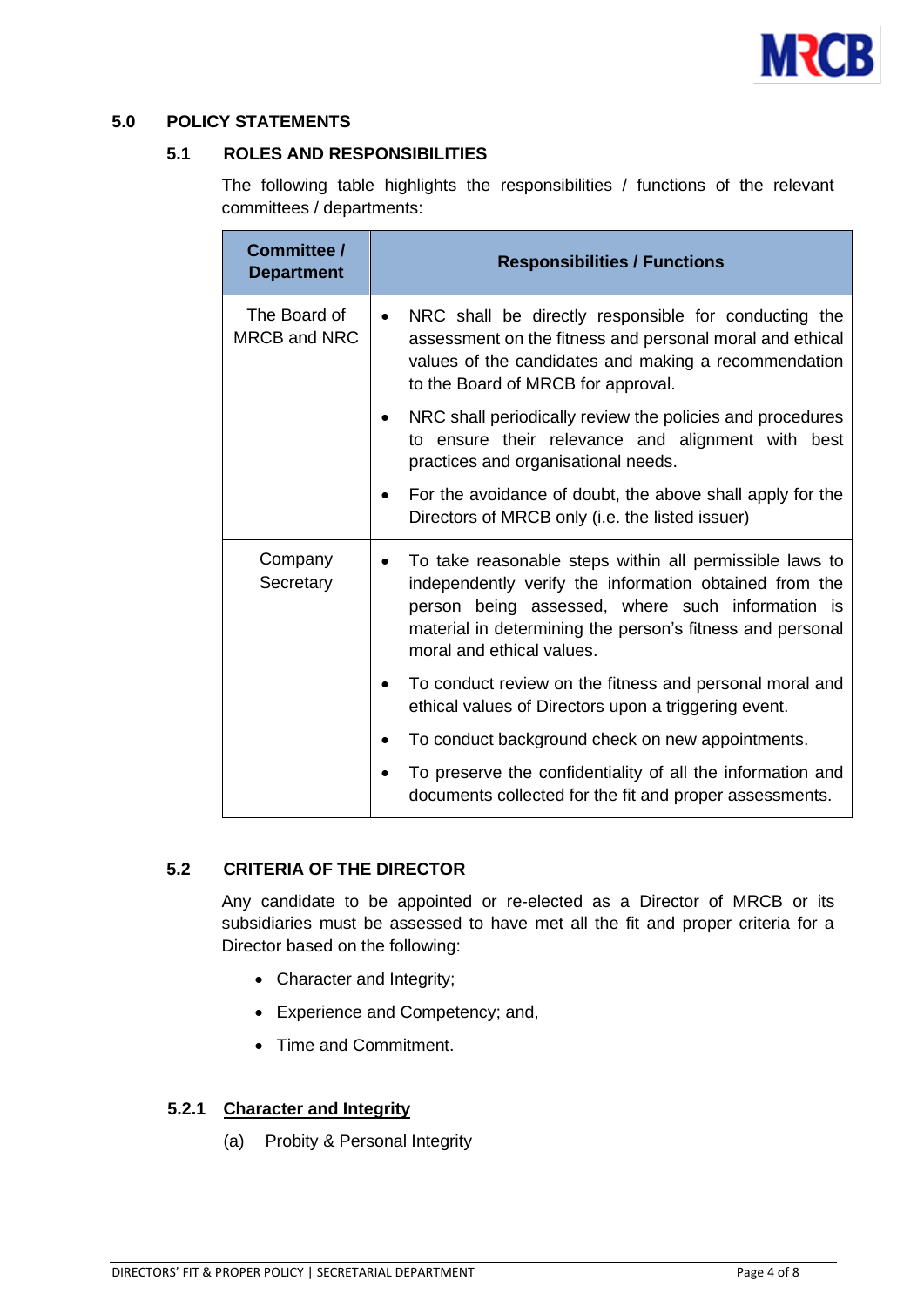

## <span id="page-3-1"></span><span id="page-3-0"></span>**5.0 POLICY STATEMENTS**

## **5.1 ROLES AND RESPONSIBILITIES**

The following table highlights the responsibilities / functions of the relevant committees / departments:

| Committee /<br><b>Department</b> | <b>Responsibilities / Functions</b>                                                                                                                                                                                                                             |  |
|----------------------------------|-----------------------------------------------------------------------------------------------------------------------------------------------------------------------------------------------------------------------------------------------------------------|--|
| The Board of<br>MRCB and NRC     | NRC shall be directly responsible for conducting the<br>assessment on the fitness and personal moral and ethical<br>values of the candidates and making a recommendation<br>to the Board of MRCB for approval.                                                  |  |
|                                  | NRC shall periodically review the policies and procedures<br>to ensure their relevance and alignment with best<br>practices and organisational needs.                                                                                                           |  |
|                                  | For the avoidance of doubt, the above shall apply for the<br>Directors of MRCB only (i.e. the listed issuer)                                                                                                                                                    |  |
| Company<br>Secretary             | To take reasonable steps within all permissible laws to<br>independently verify the information obtained from the<br>person being assessed, where such information is<br>material in determining the person's fitness and personal<br>moral and ethical values. |  |
|                                  | To conduct review on the fitness and personal moral and<br>ethical values of Directors upon a triggering event.                                                                                                                                                 |  |
|                                  | To conduct background check on new appointments.                                                                                                                                                                                                                |  |
|                                  | To preserve the confidentiality of all the information and<br>documents collected for the fit and proper assessments.                                                                                                                                           |  |

## <span id="page-3-2"></span>**5.2 CRITERIA OF THE DIRECTOR**

Any candidate to be appointed or re-elected as a Director of MRCB or its subsidiaries must be assessed to have met all the fit and proper criteria for a Director based on the following:

- Character and Integrity;
- Experience and Competency; and,
- Time and Commitment.

## **5.2.1 Character and Integrity**

(a) Probity & Personal Integrity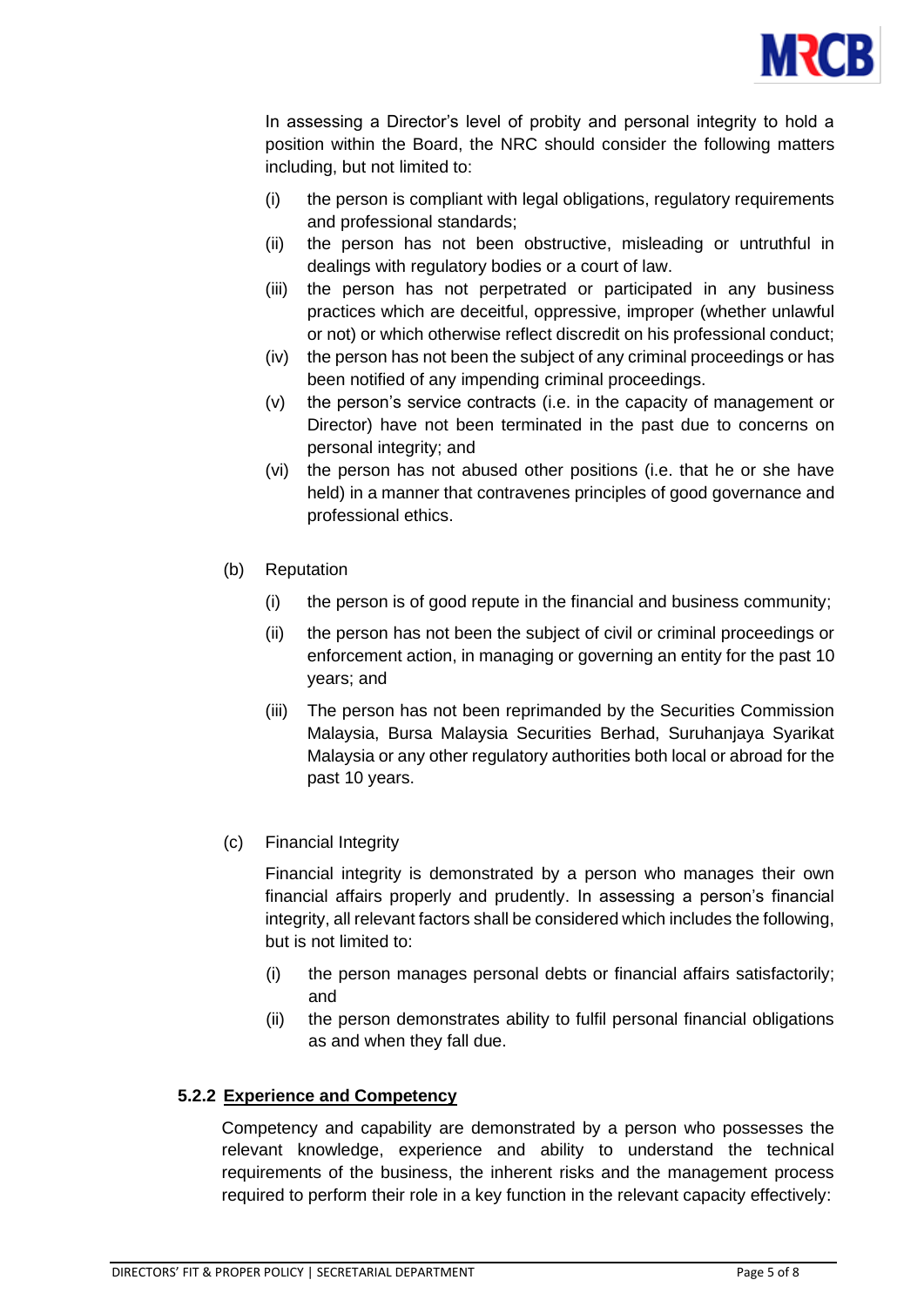

In assessing a Director's level of probity and personal integrity to hold a position within the Board, the NRC should consider the following matters including, but not limited to:

- (i) the person is compliant with legal obligations, regulatory requirements and professional standards;
- (ii) the person has not been obstructive, misleading or untruthful in dealings with regulatory bodies or a court of law.
- (iii) the person has not perpetrated or participated in any business practices which are deceitful, oppressive, improper (whether unlawful or not) or which otherwise reflect discredit on his professional conduct;
- (iv) the person has not been the subject of any criminal proceedings or has been notified of any impending criminal proceedings.
- (v) the person's service contracts (i.e. in the capacity of management or Director) have not been terminated in the past due to concerns on personal integrity; and
- (vi) the person has not abused other positions (i.e. that he or she have held) in a manner that contravenes principles of good governance and professional ethics.
- (b) Reputation
	- (i) the person is of good repute in the financial and business community;
	- (ii) the person has not been the subject of civil or criminal proceedings or enforcement action, in managing or governing an entity for the past 10 years; and
	- (iii) The person has not been reprimanded by the Securities Commission Malaysia, Bursa Malaysia Securities Berhad, Suruhanjaya Syarikat Malaysia or any other regulatory authorities both local or abroad for the past 10 years.
- (c) Financial Integrity

Financial integrity is demonstrated by a person who manages their own financial affairs properly and prudently. In assessing a person's financial integrity, all relevant factors shall be considered which includes the following, but is not limited to:

- (i) the person manages personal debts or financial affairs satisfactorily; and
- (ii) the person demonstrates ability to fulfil personal financial obligations as and when they fall due.

# **5.2.2 Experience and Competency**

Competency and capability are demonstrated by a person who possesses the relevant knowledge, experience and ability to understand the technical requirements of the business, the inherent risks and the management process required to perform their role in a key function in the relevant capacity effectively: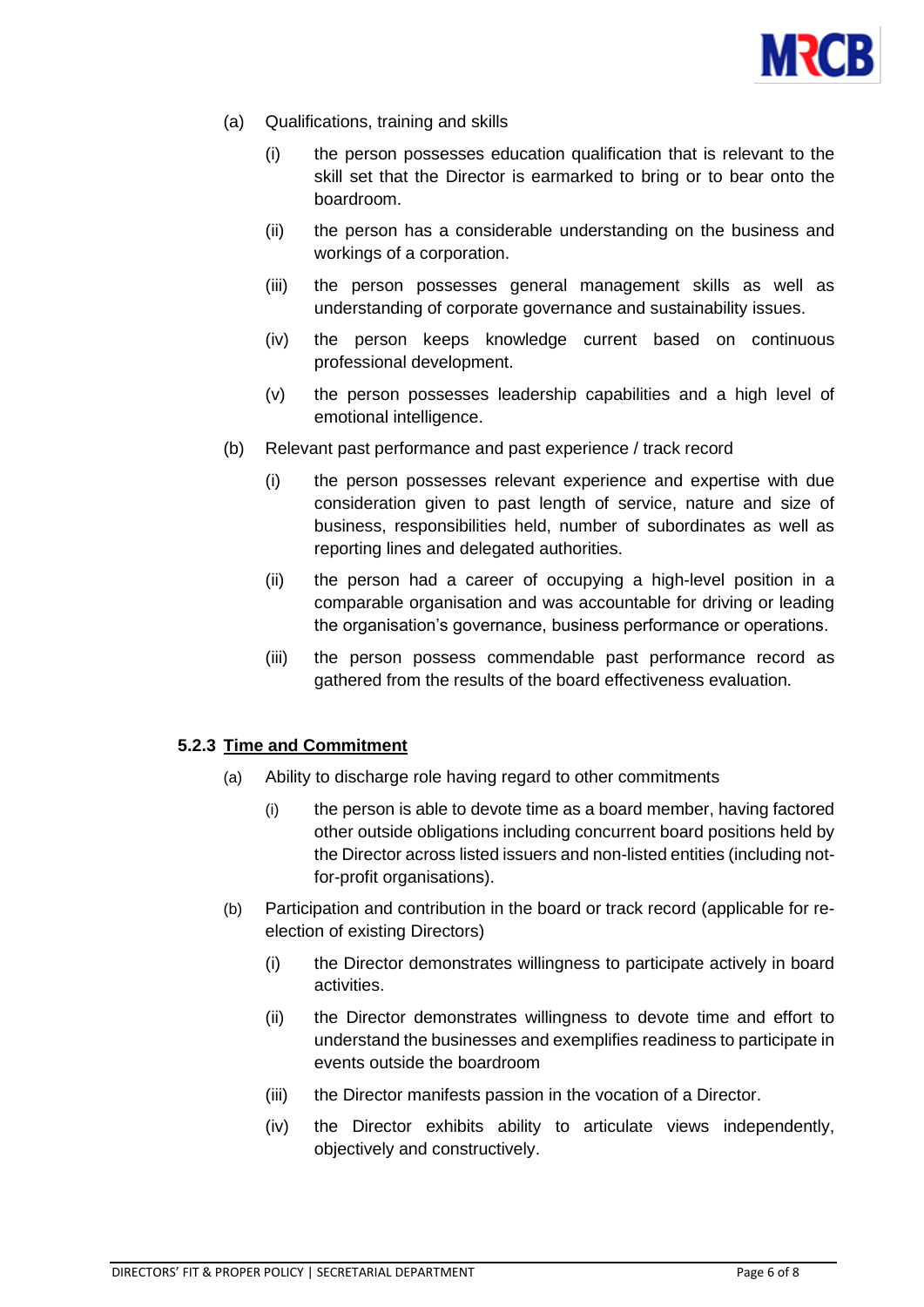

- (a) Qualifications, training and skills
	- (i) the person possesses education qualification that is relevant to the skill set that the Director is earmarked to bring or to bear onto the boardroom.
	- (ii) the person has a considerable understanding on the business and workings of a corporation.
	- (iii) the person possesses general management skills as well as understanding of corporate governance and sustainability issues.
	- (iv) the person keeps knowledge current based on continuous professional development.
	- (v) the person possesses leadership capabilities and a high level of emotional intelligence.
- (b) Relevant past performance and past experience / track record
	- (i) the person possesses relevant experience and expertise with due consideration given to past length of service, nature and size of business, responsibilities held, number of subordinates as well as reporting lines and delegated authorities.
	- (ii) the person had a career of occupying a high-level position in a comparable organisation and was accountable for driving or leading the organisation's governance, business performance or operations.
	- (iii) the person possess commendable past performance record as gathered from the results of the board effectiveness evaluation.

## **5.2.3 Time and Commitment**

- (a) Ability to discharge role having regard to other commitments
	- (i) the person is able to devote time as a board member, having factored other outside obligations including concurrent board positions held by the Director across listed issuers and non-listed entities (including notfor-profit organisations).
- (b) Participation and contribution in the board or track record (applicable for reelection of existing Directors)
	- (i) the Director demonstrates willingness to participate actively in board activities.
	- (ii) the Director demonstrates willingness to devote time and effort to understand the businesses and exemplifies readiness to participate in events outside the boardroom
	- (iii) the Director manifests passion in the vocation of a Director.
	- (iv) the Director exhibits ability to articulate views independently, objectively and constructively.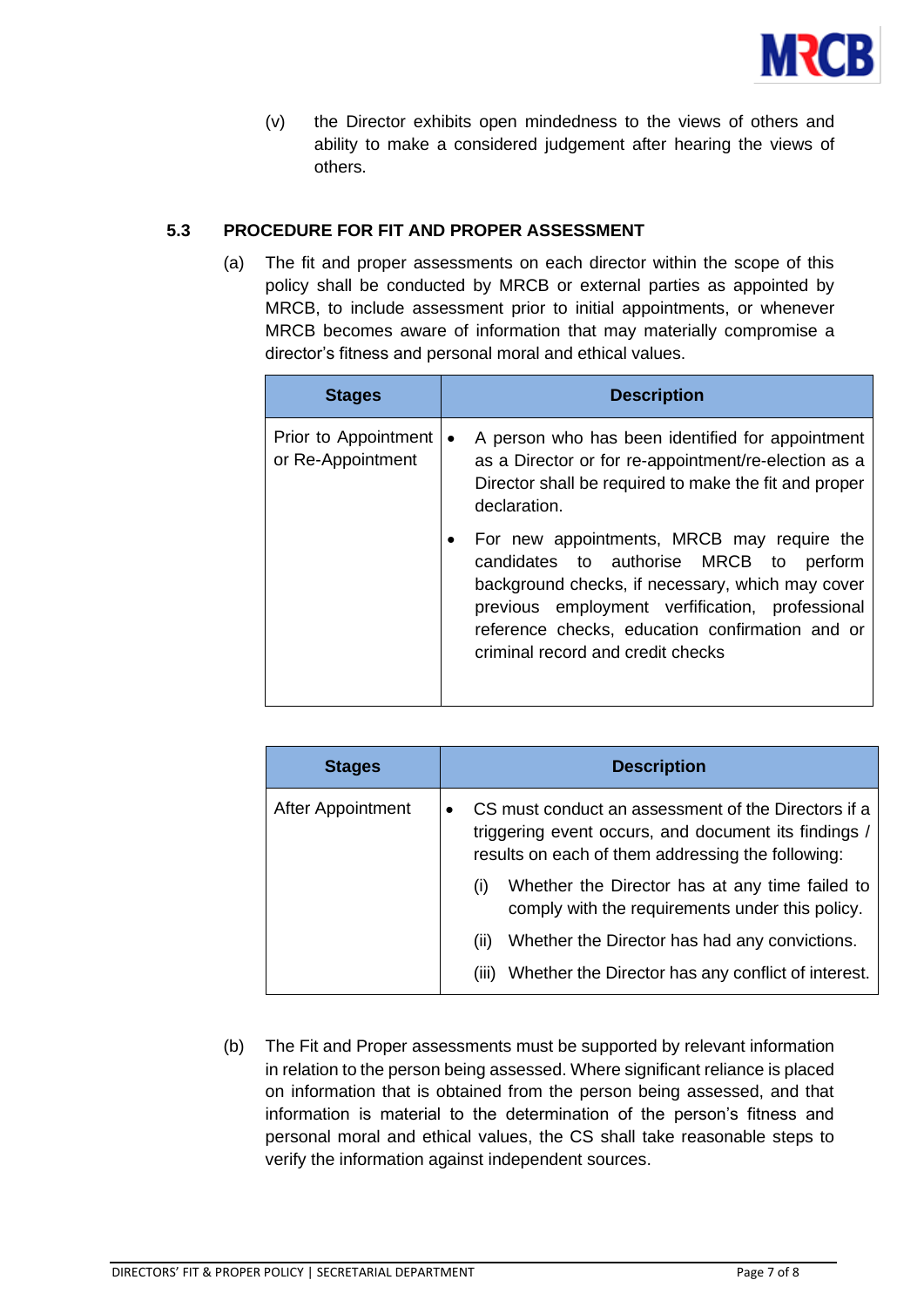

(v) the Director exhibits open mindedness to the views of others and ability to make a considered judgement after hearing the views of others.

# <span id="page-6-0"></span>**5.3 PROCEDURE FOR FIT AND PROPER ASSESSMENT**

(a) The fit and proper assessments on each director within the scope of this policy shall be conducted by MRCB or external parties as appointed by MRCB, to include assessment prior to initial appointments, or whenever MRCB becomes aware of information that may materially compromise a director's fitness and personal moral and ethical values.

| <b>Stages</b>                             | <b>Description</b>                                                                                                                                                                                                                                                                   |
|-------------------------------------------|--------------------------------------------------------------------------------------------------------------------------------------------------------------------------------------------------------------------------------------------------------------------------------------|
| Prior to Appointment<br>or Re-Appointment | A person who has been identified for appointment<br>$\bullet$<br>as a Director or for re-appointment/re-election as a<br>Director shall be required to make the fit and proper<br>declaration.                                                                                       |
|                                           | For new appointments, MRCB may require the<br>candidates to authorise MRCB to perform<br>background checks, if necessary, which may cover<br>previous employment verfification, professional<br>reference checks, education confirmation and or<br>criminal record and credit checks |

| <b>Stages</b>     | <b>Description</b>                                                                                                                                               |  |
|-------------------|------------------------------------------------------------------------------------------------------------------------------------------------------------------|--|
| After Appointment | CS must conduct an assessment of the Directors if a<br>triggering event occurs, and document its findings /<br>results on each of them addressing the following: |  |
|                   | Whether the Director has at any time failed to<br>(i)<br>comply with the requirements under this policy.                                                         |  |
|                   | Whether the Director has had any convictions.<br>(11)<br>Whether the Director has any conflict of interest.<br>(111)                                             |  |

(b) The Fit and Proper assessments must be supported by relevant information in relation to the person being assessed. Where significant reliance is placed on information that is obtained from the person being assessed, and that information is material to the determination of the person's fitness and personal moral and ethical values, the CS shall take reasonable steps to verify the information against independent sources.